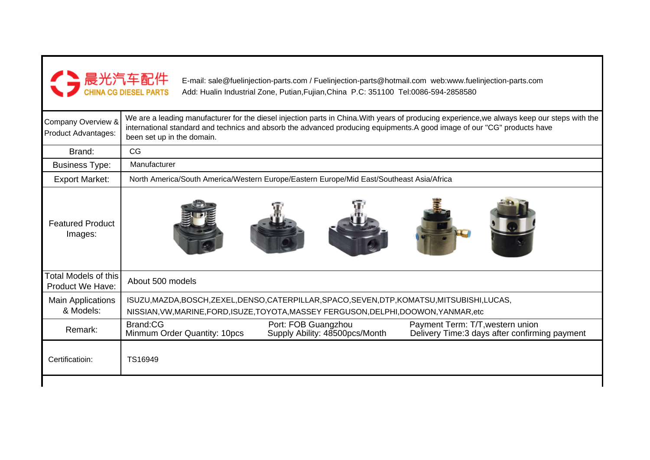

E-mail: sale@fuelinjection-parts.com / Fuelinjection-parts@hotmail.com web:www.fuelinjection-parts.com Add: Hualin Industrial Zone, Putian,Fujian,China P.C: 351100 Tel:0086-594-2858580

| <b>Company Overview &amp;</b><br>Product Advantages: | We are a leading manufacturer for the diesel injection parts in China. With years of producing experience, we always keep our steps with the<br>international standard and technics and absorb the advanced producing equipments. A good image of our "CG" products have<br>been set up in the domain. |  |  |  |  |
|------------------------------------------------------|--------------------------------------------------------------------------------------------------------------------------------------------------------------------------------------------------------------------------------------------------------------------------------------------------------|--|--|--|--|
| Brand:                                               | CG                                                                                                                                                                                                                                                                                                     |  |  |  |  |
| <b>Business Type:</b>                                | Manufacturer                                                                                                                                                                                                                                                                                           |  |  |  |  |
| <b>Export Market:</b>                                | North America/South America/Western Europe/Eastern Europe/Mid East/Southeast Asia/Africa                                                                                                                                                                                                               |  |  |  |  |
| <b>Featured Product</b><br>Images:                   |                                                                                                                                                                                                                                                                                                        |  |  |  |  |
| <b>Total Models of this</b><br>Product We Have:      | About 500 models                                                                                                                                                                                                                                                                                       |  |  |  |  |
| <b>Main Applications</b><br>& Models:                | ISUZU, MAZDA, BOSCH, ZEXEL, DENSO, CATERPILLAR, SPACO, SEVEN, DTP, KOMATSU, MITSUBISHI, LUCAS,<br>NISSIAN, VW, MARINE, FORD, ISUZE, TOYOTA, MASSEY FERGUSON, DELPHI, DOOWON, YANMAR, etc                                                                                                               |  |  |  |  |
| Remark:                                              | Brand:CG<br>Port: FOB Guangzhou<br>Payment Term: T/T, western union<br>Supply Ability: 48500pcs/Month<br>Minmum Order Quantity: 10pcs<br>Delivery Time: 3 days after confirming payment                                                                                                                |  |  |  |  |
| Certificatioin:                                      | TS16949                                                                                                                                                                                                                                                                                                |  |  |  |  |
|                                                      |                                                                                                                                                                                                                                                                                                        |  |  |  |  |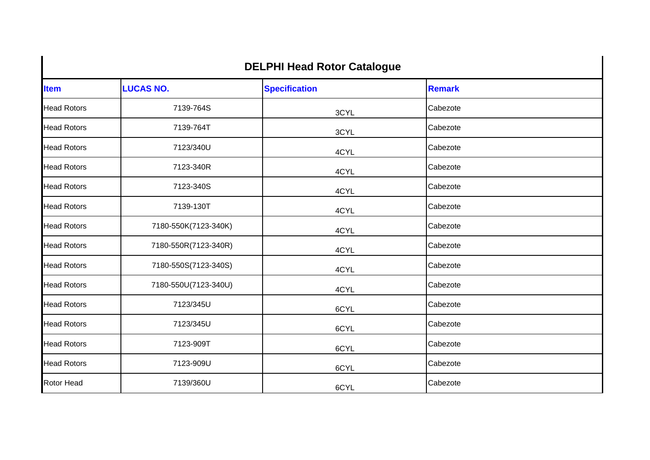| <b>DELPHI Head Rotor Catalogue</b> |                      |                      |               |  |  |
|------------------------------------|----------------------|----------------------|---------------|--|--|
| <b>Item</b>                        | <b>LUCAS NO.</b>     | <b>Specification</b> | <b>Remark</b> |  |  |
| <b>Head Rotors</b>                 | 7139-764S            | 3CYL                 | Cabezote      |  |  |
| <b>Head Rotors</b>                 | 7139-764T            | 3CYL                 | Cabezote      |  |  |
| <b>Head Rotors</b>                 | 7123/340U            | 4CYL                 | Cabezote      |  |  |
| <b>Head Rotors</b>                 | 7123-340R            | 4CYL                 | Cabezote      |  |  |
| <b>Head Rotors</b>                 | 7123-340S            | 4CYL                 | Cabezote      |  |  |
| <b>Head Rotors</b>                 | 7139-130T            | 4CYL                 | Cabezote      |  |  |
| <b>Head Rotors</b>                 | 7180-550K(7123-340K) | 4CYL                 | Cabezote      |  |  |
| <b>Head Rotors</b>                 | 7180-550R(7123-340R) | 4CYL                 | Cabezote      |  |  |
| <b>Head Rotors</b>                 | 7180-550S(7123-340S) | 4CYL                 | Cabezote      |  |  |
| <b>Head Rotors</b>                 | 7180-550U(7123-340U) | 4CYL                 | Cabezote      |  |  |
| <b>Head Rotors</b>                 | 7123/345U            | 6CYL                 | Cabezote      |  |  |
| <b>Head Rotors</b>                 | 7123/345U            | 6CYL                 | Cabezote      |  |  |
| <b>Head Rotors</b>                 | 7123-909T            | 6CYL                 | Cabezote      |  |  |
| <b>Head Rotors</b>                 | 7123-909U            | 6CYL                 | Cabezote      |  |  |
| Rotor Head                         | 7139/360U            | 6CYL                 | Cabezote      |  |  |